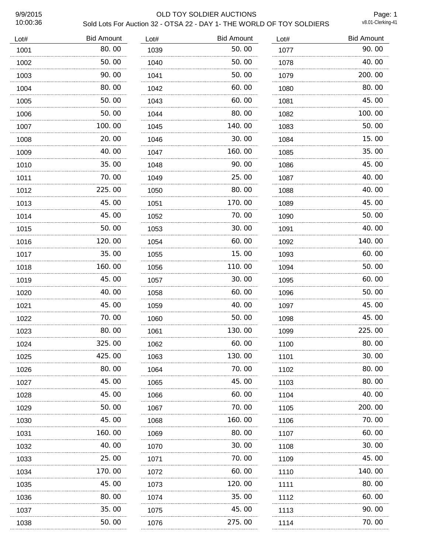# 9/9/2015 OLD TOY SOLDIER AUCTIONS Sold Lots For Auction 32 - OTSA 22 - DAY 1- THE WORLD OF TOY SOLDIERS

Page: 1<br>v8.01-Clerking-41

| <b>Bid Amount</b> | Lot# | <b>Bid Amount</b> | Lot# | <b>Bid Amount</b> |
|-------------------|------|-------------------|------|-------------------|
| 80.00             | 1039 | 50.00             | 1077 | 90.00             |
| 50.00             | 1040 | 50.00             | 1078 | 40.00             |
| 90.00             | 1041 | 50.00             | 1079 | 200.00            |
| 80.00             | 1042 | 60.00             | 1080 | 80.00             |
| 50.00             | 1043 | 60.00             | 1081 | 45.00             |
| 50.00             | 1044 | 80.00             | 1082 | 100.00            |
| 100.00            | 1045 | 140.00            | 1083 | 50.00             |
| 20.00             | 1046 | 30.00             | 1084 | 15.00             |
| 40.00             | 1047 | 160.00            | 1085 | 35.00             |
| 35.00             | 1048 | 90.00             | 1086 | 45.00             |
| 70.00             | 1049 | 25.00             | 1087 | 40.00             |
| 225.00            | 1050 | 80.00             | 1088 | 40.00             |
| 45.00             | 1051 | 170.00            | 1089 | 45.00             |
| 45.00             | 1052 | 70.00             | 1090 | 50.00             |
| 50.00             | 1053 | 30.00             | 1091 | 40.00             |
| 120.00            | 1054 | 60.00             | 1092 | 140.00            |
| 35.00             | 1055 | 15.00             | 1093 | 60.00             |
| 160.00            | 1056 | 110.00            | 1094 | 50.00             |
| 45.00             | 1057 | 30.00             | 1095 | 60.00             |
| 40.00             | 1058 | 60.00             | 1096 | 50.00             |
| 45.00             | 1059 | 40.00             | 1097 | 45.00             |
| 70.00             | 1060 | 50.00             | 1098 | 45.00             |
| 80.00             | 1061 | 130.00            | 1099 | 225.00            |
| 325.00            | 1062 | 60.00             | 1100 | 80.00             |
| 425.00            | 1063 | 130. 00           | 1101 | 30. 00            |
| 80.00             | 1064 | 70.00             | 1102 | 80.00             |
| 45.00             | 1065 | 45.00             | 1103 | 80.00             |
| 45.00             | 1066 | 60.00             | 1104 | 40.00             |
| 50. 00            | 1067 | 70.00             | 1105 | 200.00            |
| 45.00             | 1068 | 160.00            | 1106 | 70. 00            |
| 160.00            | 1069 | 80.00             | 1107 | 60.00             |
| 40. 00            | 1070 | 30.00             | 1108 | 30.00             |
| 25.00             | 1071 | 70.00             | 1109 | 45.00             |
| 170. 00           | 1072 | 60.00             | 1110 | 140.00            |
| 45.00             | 1073 | 120.00            | 1111 | 80.00             |
| 80.00             | 1074 | 35.00             | 1112 | 60.00             |
| 35.00             | 1075 | 45.00             | 1113 | 90.00             |
| 50.00             | 1076 | 275.00            | 1114 | 70.00             |
|                   | .    |                   |      |                   |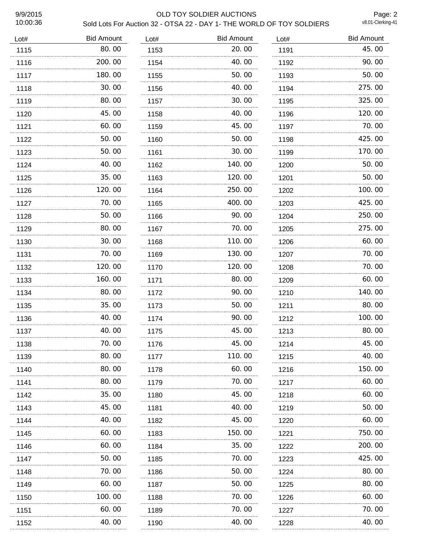# 9/9/2015 OLD TOY SOLDIER AUCTIONS Sold Lots For Auction 32 - OTSA 22 - DAY 1- THE WORLD OF TOY SOLDIERS

Page: 2<br>v8.01-Clerking-41

| Lot# | <b>Bid Amount</b> | Lot# | <b>Bid Amount</b> | Lot# | <b>Bid Amount</b> |
|------|-------------------|------|-------------------|------|-------------------|
| 1115 | 80.00             | 1153 | 20.00             | 1191 | 45.00             |
| 1116 | 200.00            | 1154 | 40.00             | 1192 | 90.00             |
| 1117 | 180.00            | 1155 | 50.00             | 1193 | 50.00             |
| 1118 | 30.00             | 1156 | 40.00             | 1194 | 275.00            |
| 1119 | 80.00             | 1157 | 30.00             | 1195 | 325.00            |
| 1120 | 45.00             | 1158 | 40.00             | 1196 | 120.00            |
| 1121 | 60.00             | 1159 | 45.00             | 1197 | 70.00             |
| 1122 | 50.00             | 1160 | 50.00             | 1198 | 425.00            |
| 1123 | 50.00             | 1161 | 30.00             | 1199 | 170.00            |
| 1124 | 40.00             | 1162 | 140.00            | 1200 | 50.00             |
| 1125 | 35.00             | 1163 | 120.00            | 1201 | 50.00             |
| 1126 | 120.00            | 1164 | 250.00            | 1202 | 100.00            |
| 1127 | 70.00             | 1165 | 400.00            | 1203 | 425.00            |
| 1128 | 50.00             | 1166 | 90.00             | 1204 | 250.00            |
| 1129 | 80.00             | 1167 | 70.00             | 1205 | 275.00            |
| 1130 | 30.00             | 1168 | 110.00            | 1206 | 60.00             |
| 1131 | 70.00             | 1169 | 130.00            | 1207 | 70.00             |
| 1132 | 120.00            | 1170 | 120.00            | 1208 | 70.00             |
| 1133 | 160.00            | 1171 | 80.00             | 1209 | 60.00             |
| 1134 | 80.00             | 1172 | 90.00             | 1210 | 140.00            |
| 1135 | .<br>35.00        | 1173 | 50.00             | 1211 | 80.00             |
| 1136 | 40.00             | 1174 | 90.00             | 1212 | 100.00            |
| 1137 | 40.00             | 1175 | 45.00             | 1213 | 80.00             |
| 1138 | 70.00             | 1176 | 45.00             | 1214 | 45.00             |
| 1139 | 80.00             | 1177 | 110. 00           | 1215 | 40. OO            |
| 1140 | 80.00             | 1178 | 60.00             | 1216 | 150.00            |
| 1141 | 80.00             | 1179 | 70.00             | 1217 | 60.00             |
| 1142 | 35.00             | 1180 | 45.00             | 1218 | 60.00             |
| 1143 | 45.00             | 1181 | 40.00             | 1219 | 50.00             |
| 1144 | 40.00             | 1182 | 45.00             | 1220 | 60.00             |
| 1145 | 60.00             | 1183 | 150.00            | 1221 | 750. 00           |
| 1146 | 60.00             | 1184 | 35.00             | 1222 | 200.00            |
| 1147 | 50.00             | 1185 | 70.00             | 1223 | 425.00            |
| 1148 | 70.00             | 1186 | 50.00             | 1224 | 80.00             |
| 1149 | 60.00             | 1187 | 50.00             | 1225 | 80.00             |
| 1150 | 100.00            | 1188 | 70.00             | 1226 | 60.00             |
| 1151 | 60.00             | 1189 | 70.00             | 1227 | 70.00             |
| 1152 | 40.00             | 1190 | 40.00             | 1228 | 40.00             |
|      |                   |      |                   |      |                   |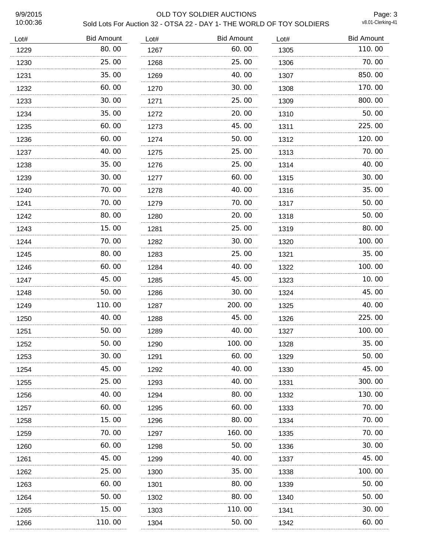# 9/9/2015 OLD TOY SOLDIER AUCTIONS Sold Lots For Auction 32 - OTSA 22 - DAY 1- THE WORLD OF TOY SOLDIERS

Page: 3<br>v8.01-Clerking-41

| Lot# | <b>Bid Amount</b> | Lot# | <b>Bid Amount</b> | Lot# | <b>Bid Amount</b> |
|------|-------------------|------|-------------------|------|-------------------|
| 1229 | 80.00             | 1267 | 60.00             | 1305 | 110.00            |
| 1230 | 25.00             | 1268 | 25.00             | 1306 | 70.00             |
| 1231 | 35.00             | 1269 | 40.00             | 1307 | 850.00            |
| 1232 | 60.00             | 1270 | 30.00             | 1308 | 170.00            |
| 1233 | 30.00             | 1271 | 25.00             | 1309 | 800.00            |
| 1234 | 35.00             | 1272 | 20.00             | 1310 | 50.00             |
| 1235 | 60.00             | 1273 | 45.00             | 1311 | 225.00            |
| 1236 | 60.00             | 1274 | 50.00             | 1312 | 120.00            |
| 1237 | 40.00             | 1275 | 25.00             | 1313 | 70.00             |
| 1238 | 35.00             | 1276 | 25.00             | 1314 | 40.00             |
| 1239 | 30.00             | 1277 | 60.00             | 1315 | 30.00             |
| 1240 | 70.00             | 1278 | 40.00             | 1316 | 35.00             |
| 1241 | 70.00             | 1279 | 70.00             | 1317 | 50.00             |
| 1242 | 80.00             | 1280 | 20.00             | 1318 | 50.00             |
| 1243 | 15.00             | 1281 | 25.00             | 1319 | 80.00             |
| 1244 | 70.00             | 1282 | 30.00             | 1320 | 100.00            |
| 1245 | 80.00             | 1283 | 25.00             | 1321 | 35.00             |
| 1246 | 60.00             | 1284 | 40.00             | 1322 | 100.00            |
| 1247 | 45.00             | 1285 | 45.00             | 1323 | 10.00             |
| 1248 | 50.00             | 1286 | 30.00             | 1324 | 45.00             |
| 1249 | 110.00            | 1287 | 200.00            | 1325 | 40.00             |
| 1250 | 40.00             | 1288 | 45.00             | 1326 | 225.00            |
| 1251 | 50.00             | 1289 | 40.00             | 1327 | 100.00            |
| 1252 | 50.00             | 1290 | 100.00            | 1328 | 35.00             |
| 1253 | 30. 00            | 1291 | 60.00             | 1329 | 50.00             |
| 1254 | 45.00             | 1292 | 40.00             | 1330 | 45.00             |
| 1255 | 25.00             | 1293 | 40.00             | 1331 | 300.00            |
| 1256 | 40.00             | 1294 | 80.00             | 1332 | 130. 00           |
| 1257 | 60.00             | 1295 | 60.00             | 1333 | 70.00             |
| 1258 | 15.00             | 1296 | 80.00             | 1334 | 70.00             |
| 1259 | 70.00             | 1297 | 160.00            | 1335 | 70.00             |
| 1260 | 60.00             | 1298 | 50.00             | 1336 | 30.00             |
| 1261 | 45.00             | 1299 | 40.00             | 1337 | 45.00             |
| 1262 | 25.00             | 1300 | 35.00             | 1338 | 100.00            |
| 1263 | 60.00             | 1301 | 80.00             | 1339 | 50.00             |
| 1264 | 50.00             | 1302 | 80.00             | 1340 | 50.00             |
| 1265 | 15.00             | 1303 | 110.00            | 1341 | 30.00             |
| 1266 | 110.00            | 1304 | 50.00             | 1342 | 60.00             |
|      |                   |      |                   |      |                   |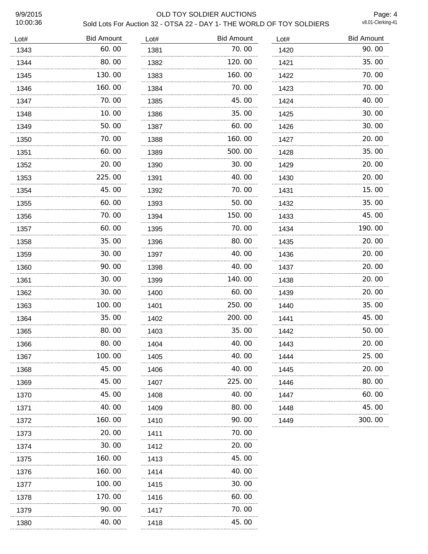# 9/9/2015 OLD TOY SOLDIER AUCTIONS Sold Lots For Auction 32 - OTSA 22 - DAY 1- THE WORLD OF TOY SOLDIERS

Page: 4<br>v8.01-Clerking-41

| 90.00<br>60.00<br>70.00<br>1343<br>1381<br>1420<br>120.00<br>80.00<br>35.00<br>1344<br>1382<br>1421<br>130.00<br>160.00<br>70.00<br>1345<br>1383<br>1422<br>160.00<br>70.00<br>70.00<br>1346<br>1384<br>1423<br>70.00<br>45.00<br>40.00<br>1385<br>1347<br>1424<br>35.00<br>30.00<br>10.00<br>1348<br>1386<br>1425<br>50.00<br>60.00<br>30.00<br>1349<br>1387<br>1426<br>20.00<br>70.00<br>160.00<br>1350<br>1388<br>1427<br>60.00<br>500.00<br>35.00<br>1351<br>1389<br>1428<br>30.00<br>20.00<br>20.00<br>1352<br>1390<br>1429<br>225.00<br>40.00<br>20.00<br>1353<br>1391<br>1430<br>45.00<br>70.00<br>15.00<br>1354<br>1392<br>1431<br>.<br>50.00<br>35.00<br>60.00<br>1355<br>1393<br>1432<br>70.00<br>150.00<br>45.00<br>1433<br>1356<br>1394<br>190.00<br>60.00<br>70.00<br>1434<br>1357<br>1395<br>35.00<br>80.00<br>20.00<br>1358<br>1396<br>1435<br>30.00<br>20.00<br>40.00<br>1397<br>1436<br>1359<br>90.00<br>40.00<br>20.00<br>1360<br>1398<br>1437<br>140.00<br>30.00<br>20.00<br>1361<br>1399<br>1438<br>30.00<br>20.00<br>60.00<br>1362<br>1400<br>1439<br>100.00<br>250.00<br>35.00<br>1363<br>1401<br>1440<br>35.00<br>200.00<br>45.00<br>1364<br>1402<br>1441<br>50.00<br>80.00<br>35.00<br>1365<br>1403<br>1442<br>80.00<br>40. OO<br>20 OO<br>1366<br>1443<br>1404<br>100.00<br>40.00<br>25,00<br>1367<br>1405<br>1444<br>45.00<br>40.00<br>20.00<br>1406<br>1368<br>1445<br>45.00<br>225.00<br>80.00<br>1369<br>1407<br>1446<br>45.00<br>40.00<br>60.00<br>1370<br>1408<br>1447<br>40.00<br>80.00<br>45.00<br>1409<br>1371<br>1448<br>160.00<br>90.00<br>300.00<br>1449<br>1372<br>1410<br>20.00<br>70.00<br>1411<br>1373<br>30.00<br>20.00<br>1374<br>1412<br>160.00<br>45.00<br>1375<br>1413<br>160.00<br>40.00<br>1414<br>1376<br>.<br>.<br>100.00<br>30.00<br>1377<br>1415<br>.<br>.<br>170.00<br>60.00<br>1416<br>1378<br>.<br>90.00<br>70.00<br>1417<br>1379<br>40.00<br>45.00<br>1380<br>1418 | Lot# | <b>Bid Amount</b> | Lot# | <b>Bid Amount</b> | Lot# | <b>Bid Amount</b> |
|----------------------------------------------------------------------------------------------------------------------------------------------------------------------------------------------------------------------------------------------------------------------------------------------------------------------------------------------------------------------------------------------------------------------------------------------------------------------------------------------------------------------------------------------------------------------------------------------------------------------------------------------------------------------------------------------------------------------------------------------------------------------------------------------------------------------------------------------------------------------------------------------------------------------------------------------------------------------------------------------------------------------------------------------------------------------------------------------------------------------------------------------------------------------------------------------------------------------------------------------------------------------------------------------------------------------------------------------------------------------------------------------------------------------------------------------------------------------------------------------------------------------------------------------------------------------------------------------------------------------------------------------------------------------------------------------------------------------------------------------------------------------------------------------------------------------------------------------------------------------------------------------------------------------------|------|-------------------|------|-------------------|------|-------------------|
|                                                                                                                                                                                                                                                                                                                                                                                                                                                                                                                                                                                                                                                                                                                                                                                                                                                                                                                                                                                                                                                                                                                                                                                                                                                                                                                                                                                                                                                                                                                                                                                                                                                                                                                                                                                                                                                                                                                            |      |                   |      |                   |      |                   |
|                                                                                                                                                                                                                                                                                                                                                                                                                                                                                                                                                                                                                                                                                                                                                                                                                                                                                                                                                                                                                                                                                                                                                                                                                                                                                                                                                                                                                                                                                                                                                                                                                                                                                                                                                                                                                                                                                                                            |      |                   |      |                   |      |                   |
|                                                                                                                                                                                                                                                                                                                                                                                                                                                                                                                                                                                                                                                                                                                                                                                                                                                                                                                                                                                                                                                                                                                                                                                                                                                                                                                                                                                                                                                                                                                                                                                                                                                                                                                                                                                                                                                                                                                            |      |                   |      |                   |      |                   |
|                                                                                                                                                                                                                                                                                                                                                                                                                                                                                                                                                                                                                                                                                                                                                                                                                                                                                                                                                                                                                                                                                                                                                                                                                                                                                                                                                                                                                                                                                                                                                                                                                                                                                                                                                                                                                                                                                                                            |      |                   |      |                   |      |                   |
|                                                                                                                                                                                                                                                                                                                                                                                                                                                                                                                                                                                                                                                                                                                                                                                                                                                                                                                                                                                                                                                                                                                                                                                                                                                                                                                                                                                                                                                                                                                                                                                                                                                                                                                                                                                                                                                                                                                            |      |                   |      |                   |      |                   |
|                                                                                                                                                                                                                                                                                                                                                                                                                                                                                                                                                                                                                                                                                                                                                                                                                                                                                                                                                                                                                                                                                                                                                                                                                                                                                                                                                                                                                                                                                                                                                                                                                                                                                                                                                                                                                                                                                                                            |      |                   |      |                   |      |                   |
|                                                                                                                                                                                                                                                                                                                                                                                                                                                                                                                                                                                                                                                                                                                                                                                                                                                                                                                                                                                                                                                                                                                                                                                                                                                                                                                                                                                                                                                                                                                                                                                                                                                                                                                                                                                                                                                                                                                            |      |                   |      |                   |      |                   |
|                                                                                                                                                                                                                                                                                                                                                                                                                                                                                                                                                                                                                                                                                                                                                                                                                                                                                                                                                                                                                                                                                                                                                                                                                                                                                                                                                                                                                                                                                                                                                                                                                                                                                                                                                                                                                                                                                                                            |      |                   |      |                   |      |                   |
|                                                                                                                                                                                                                                                                                                                                                                                                                                                                                                                                                                                                                                                                                                                                                                                                                                                                                                                                                                                                                                                                                                                                                                                                                                                                                                                                                                                                                                                                                                                                                                                                                                                                                                                                                                                                                                                                                                                            |      |                   |      |                   |      |                   |
|                                                                                                                                                                                                                                                                                                                                                                                                                                                                                                                                                                                                                                                                                                                                                                                                                                                                                                                                                                                                                                                                                                                                                                                                                                                                                                                                                                                                                                                                                                                                                                                                                                                                                                                                                                                                                                                                                                                            |      |                   |      |                   |      |                   |
|                                                                                                                                                                                                                                                                                                                                                                                                                                                                                                                                                                                                                                                                                                                                                                                                                                                                                                                                                                                                                                                                                                                                                                                                                                                                                                                                                                                                                                                                                                                                                                                                                                                                                                                                                                                                                                                                                                                            |      |                   |      |                   |      |                   |
|                                                                                                                                                                                                                                                                                                                                                                                                                                                                                                                                                                                                                                                                                                                                                                                                                                                                                                                                                                                                                                                                                                                                                                                                                                                                                                                                                                                                                                                                                                                                                                                                                                                                                                                                                                                                                                                                                                                            |      |                   |      |                   |      |                   |
|                                                                                                                                                                                                                                                                                                                                                                                                                                                                                                                                                                                                                                                                                                                                                                                                                                                                                                                                                                                                                                                                                                                                                                                                                                                                                                                                                                                                                                                                                                                                                                                                                                                                                                                                                                                                                                                                                                                            |      |                   |      |                   |      |                   |
|                                                                                                                                                                                                                                                                                                                                                                                                                                                                                                                                                                                                                                                                                                                                                                                                                                                                                                                                                                                                                                                                                                                                                                                                                                                                                                                                                                                                                                                                                                                                                                                                                                                                                                                                                                                                                                                                                                                            |      |                   |      |                   |      |                   |
|                                                                                                                                                                                                                                                                                                                                                                                                                                                                                                                                                                                                                                                                                                                                                                                                                                                                                                                                                                                                                                                                                                                                                                                                                                                                                                                                                                                                                                                                                                                                                                                                                                                                                                                                                                                                                                                                                                                            |      |                   |      |                   |      |                   |
|                                                                                                                                                                                                                                                                                                                                                                                                                                                                                                                                                                                                                                                                                                                                                                                                                                                                                                                                                                                                                                                                                                                                                                                                                                                                                                                                                                                                                                                                                                                                                                                                                                                                                                                                                                                                                                                                                                                            |      |                   |      |                   |      |                   |
|                                                                                                                                                                                                                                                                                                                                                                                                                                                                                                                                                                                                                                                                                                                                                                                                                                                                                                                                                                                                                                                                                                                                                                                                                                                                                                                                                                                                                                                                                                                                                                                                                                                                                                                                                                                                                                                                                                                            |      |                   |      |                   |      |                   |
|                                                                                                                                                                                                                                                                                                                                                                                                                                                                                                                                                                                                                                                                                                                                                                                                                                                                                                                                                                                                                                                                                                                                                                                                                                                                                                                                                                                                                                                                                                                                                                                                                                                                                                                                                                                                                                                                                                                            |      |                   |      |                   |      |                   |
|                                                                                                                                                                                                                                                                                                                                                                                                                                                                                                                                                                                                                                                                                                                                                                                                                                                                                                                                                                                                                                                                                                                                                                                                                                                                                                                                                                                                                                                                                                                                                                                                                                                                                                                                                                                                                                                                                                                            |      |                   |      |                   |      |                   |
|                                                                                                                                                                                                                                                                                                                                                                                                                                                                                                                                                                                                                                                                                                                                                                                                                                                                                                                                                                                                                                                                                                                                                                                                                                                                                                                                                                                                                                                                                                                                                                                                                                                                                                                                                                                                                                                                                                                            |      |                   |      |                   |      |                   |
|                                                                                                                                                                                                                                                                                                                                                                                                                                                                                                                                                                                                                                                                                                                                                                                                                                                                                                                                                                                                                                                                                                                                                                                                                                                                                                                                                                                                                                                                                                                                                                                                                                                                                                                                                                                                                                                                                                                            |      |                   |      |                   |      |                   |
|                                                                                                                                                                                                                                                                                                                                                                                                                                                                                                                                                                                                                                                                                                                                                                                                                                                                                                                                                                                                                                                                                                                                                                                                                                                                                                                                                                                                                                                                                                                                                                                                                                                                                                                                                                                                                                                                                                                            |      |                   |      |                   |      |                   |
|                                                                                                                                                                                                                                                                                                                                                                                                                                                                                                                                                                                                                                                                                                                                                                                                                                                                                                                                                                                                                                                                                                                                                                                                                                                                                                                                                                                                                                                                                                                                                                                                                                                                                                                                                                                                                                                                                                                            |      |                   |      |                   |      |                   |
|                                                                                                                                                                                                                                                                                                                                                                                                                                                                                                                                                                                                                                                                                                                                                                                                                                                                                                                                                                                                                                                                                                                                                                                                                                                                                                                                                                                                                                                                                                                                                                                                                                                                                                                                                                                                                                                                                                                            |      |                   |      |                   |      |                   |
|                                                                                                                                                                                                                                                                                                                                                                                                                                                                                                                                                                                                                                                                                                                                                                                                                                                                                                                                                                                                                                                                                                                                                                                                                                                                                                                                                                                                                                                                                                                                                                                                                                                                                                                                                                                                                                                                                                                            |      |                   |      |                   |      |                   |
|                                                                                                                                                                                                                                                                                                                                                                                                                                                                                                                                                                                                                                                                                                                                                                                                                                                                                                                                                                                                                                                                                                                                                                                                                                                                                                                                                                                                                                                                                                                                                                                                                                                                                                                                                                                                                                                                                                                            |      |                   |      |                   |      |                   |
|                                                                                                                                                                                                                                                                                                                                                                                                                                                                                                                                                                                                                                                                                                                                                                                                                                                                                                                                                                                                                                                                                                                                                                                                                                                                                                                                                                                                                                                                                                                                                                                                                                                                                                                                                                                                                                                                                                                            |      |                   |      |                   |      |                   |
|                                                                                                                                                                                                                                                                                                                                                                                                                                                                                                                                                                                                                                                                                                                                                                                                                                                                                                                                                                                                                                                                                                                                                                                                                                                                                                                                                                                                                                                                                                                                                                                                                                                                                                                                                                                                                                                                                                                            |      |                   |      |                   |      |                   |
|                                                                                                                                                                                                                                                                                                                                                                                                                                                                                                                                                                                                                                                                                                                                                                                                                                                                                                                                                                                                                                                                                                                                                                                                                                                                                                                                                                                                                                                                                                                                                                                                                                                                                                                                                                                                                                                                                                                            |      |                   |      |                   |      |                   |
|                                                                                                                                                                                                                                                                                                                                                                                                                                                                                                                                                                                                                                                                                                                                                                                                                                                                                                                                                                                                                                                                                                                                                                                                                                                                                                                                                                                                                                                                                                                                                                                                                                                                                                                                                                                                                                                                                                                            |      |                   |      |                   |      |                   |
|                                                                                                                                                                                                                                                                                                                                                                                                                                                                                                                                                                                                                                                                                                                                                                                                                                                                                                                                                                                                                                                                                                                                                                                                                                                                                                                                                                                                                                                                                                                                                                                                                                                                                                                                                                                                                                                                                                                            |      |                   |      |                   |      |                   |
|                                                                                                                                                                                                                                                                                                                                                                                                                                                                                                                                                                                                                                                                                                                                                                                                                                                                                                                                                                                                                                                                                                                                                                                                                                                                                                                                                                                                                                                                                                                                                                                                                                                                                                                                                                                                                                                                                                                            |      |                   |      |                   |      |                   |
|                                                                                                                                                                                                                                                                                                                                                                                                                                                                                                                                                                                                                                                                                                                                                                                                                                                                                                                                                                                                                                                                                                                                                                                                                                                                                                                                                                                                                                                                                                                                                                                                                                                                                                                                                                                                                                                                                                                            |      |                   |      |                   |      |                   |
|                                                                                                                                                                                                                                                                                                                                                                                                                                                                                                                                                                                                                                                                                                                                                                                                                                                                                                                                                                                                                                                                                                                                                                                                                                                                                                                                                                                                                                                                                                                                                                                                                                                                                                                                                                                                                                                                                                                            |      |                   |      |                   |      |                   |
|                                                                                                                                                                                                                                                                                                                                                                                                                                                                                                                                                                                                                                                                                                                                                                                                                                                                                                                                                                                                                                                                                                                                                                                                                                                                                                                                                                                                                                                                                                                                                                                                                                                                                                                                                                                                                                                                                                                            |      |                   |      |                   |      |                   |
|                                                                                                                                                                                                                                                                                                                                                                                                                                                                                                                                                                                                                                                                                                                                                                                                                                                                                                                                                                                                                                                                                                                                                                                                                                                                                                                                                                                                                                                                                                                                                                                                                                                                                                                                                                                                                                                                                                                            |      |                   |      |                   |      |                   |
|                                                                                                                                                                                                                                                                                                                                                                                                                                                                                                                                                                                                                                                                                                                                                                                                                                                                                                                                                                                                                                                                                                                                                                                                                                                                                                                                                                                                                                                                                                                                                                                                                                                                                                                                                                                                                                                                                                                            |      |                   |      |                   |      |                   |
|                                                                                                                                                                                                                                                                                                                                                                                                                                                                                                                                                                                                                                                                                                                                                                                                                                                                                                                                                                                                                                                                                                                                                                                                                                                                                                                                                                                                                                                                                                                                                                                                                                                                                                                                                                                                                                                                                                                            |      |                   |      |                   |      |                   |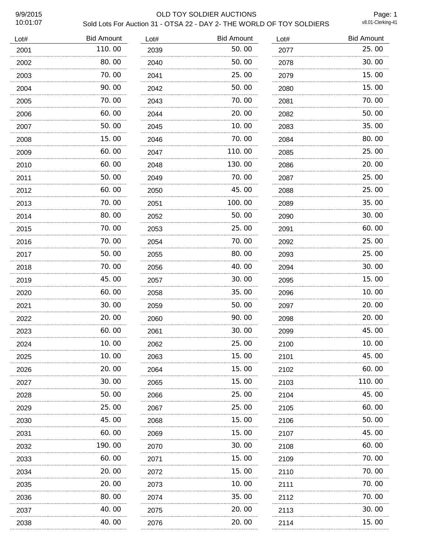# 9/9/2015 OLD TOY SOLDIER AUCTIONS Sold Lots For Auction 31 - OTSA 22 - DAY 2- THE WORLD OF TOY SOLDIERS

Page: 1<br>v8.01-Clerking-41

| Lot# | <b>Bid Amount</b> | Lot# | <b>Bid Amount</b> | Lot# | <b>Bid Amount</b> |
|------|-------------------|------|-------------------|------|-------------------|
| 2001 | 110.00            | 2039 | 50.00             | 2077 | 25.00             |
| 2002 | 80.00             | 2040 | 50.00             | 2078 | 30.00             |
| 2003 | 70.00             | 2041 | 25.00             | 2079 | 15.00             |
| 2004 | 90.00             | 2042 | 50.00             | 2080 | 15.00             |
| 2005 | 70.00             | 2043 | 70.00             | 2081 | 70.00             |
| 2006 | 60.00             | 2044 | 20.00             | 2082 | 50.00             |
| 2007 | 50.00             | 2045 | 10.00             | 2083 | 35.00             |
| 2008 | 15.00             | 2046 | 70.00             | 2084 | 80.00             |
| 2009 | 60.00<br>.        | 2047 | 110.00            | 2085 | 25.00             |
| 2010 | 60.00             | 2048 | 130.00            | 2086 | 20.00             |
| 2011 | 50.00             | 2049 | 70.00             | 2087 | 25.00             |
| 2012 | 60.00             | 2050 | 45.00             | 2088 | 25.00             |
| 2013 | 70.00             | 2051 | 100.00            | 2089 | 35.00             |
| 2014 | 80.00             | 2052 | 50.00             | 2090 | 30.00             |
| 2015 | 70.00             | 2053 | 25.00             | 2091 | 60.00             |
| 2016 | 70.00             | 2054 | 70.00             | 2092 | 25.00             |
| 2017 | 50.00             | 2055 | 80.00             | 2093 | 25.00             |
| 2018 | 70.00             | 2056 | 40.00             | 2094 | 30.00             |
| 2019 | 45.00             | 2057 | 30.00             | 2095 | 15.00             |
| 2020 | 60.00             | 2058 | 35.00             | 2096 | 10.00             |
| 2021 | 30.00             | 2059 | 50.00             | 2097 | 20.00             |
| 2022 | 20.00             | 2060 | 90.00             | 2098 | 20.00             |
| 2023 | 60.00             | 2061 | 30.00             | 2099 | 45.00             |
| 2024 | 10.00             | 2062 | 25.00             | 2100 | 10.00             |
| 2025 | 10.00             | 2063 | 15.00             | 2101 | 45.00             |
| 2026 | 20.00             | 2064 | 15.00             | 2102 | 60.00             |
| 2027 | 30.00             | 2065 | 15.00             | 2103 | 110.00            |
| 2028 | 50.00             | 2066 | 25.00             | 2104 | 45.00             |
| 2029 | 25.00             | 2067 | 25.00             | 2105 | 60.00             |
| 2030 | 45.00             | 2068 | 15.00             | 2106 | 50.00             |
| 2031 | 60.00<br>         | 2069 | 15. 00            | 2107 | 45.00             |
| 2032 | 190.00            | 2070 | 30.00             | 2108 | 60.00             |
| 2033 | 60.00             | 2071 | 15.00             | 2109 | 70.00             |
| 2034 | 20.00             | 2072 | 15.00             | 2110 | 70.00             |
| 2035 | 20.00             | 2073 | 10.00             | 2111 | 70.00             |
| 2036 | 80.00             | 2074 | 35.00             | 2112 | 70.00             |
| 2037 | 40.00             | 2075 | 20.00             | 2113 | 30. 00            |
| 2038 | 40.00             | 2076 | 20.00             | 2114 | 15.00             |
|      |                   |      |                   |      |                   |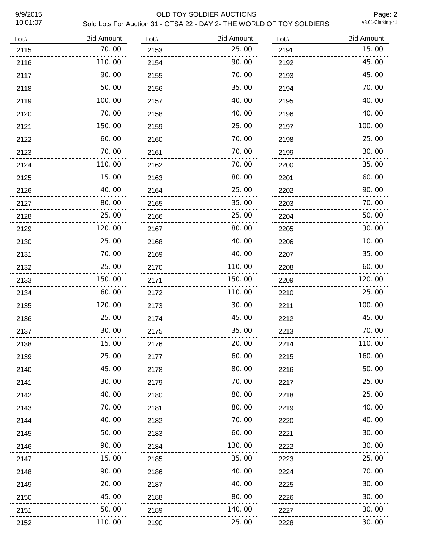# 9/9/2015 OLD TOY SOLDIER AUCTIONS Sold Lots For Auction 31 - OTSA 22 - DAY 2- THE WORLD OF TOY SOLDIERS

Page: 2<br>v8.01-Clerking-41

| Lot# | <b>Bid Amount</b> | Lot# | <b>Bid Amount</b> | Lot# | <b>Bid Amount</b> |
|------|-------------------|------|-------------------|------|-------------------|
| 2115 | 70.00             | 2153 | 25.00             | 2191 | 15.00             |
| 2116 | 110.00            | 2154 | 90.00             | 2192 | 45.00             |
| 2117 | 90.00             | 2155 | 70.00             | 2193 | 45.00             |
| 2118 | 50.00             | 2156 | 35.00             | 2194 | 70.00             |
| 2119 | 100.00            | 2157 | 40.00             | 2195 | 40.00             |
| 2120 | 70.00             | 2158 | 40.00             | 2196 | 40.00             |
| 2121 | 150.00            | 2159 | 25.00             | 2197 | 100.00            |
| 2122 | 60.00             | 2160 | 70.00             | 2198 | 25.00             |
| 2123 | 70.00             | 2161 | 70.00             | 2199 | 30.00             |
| 2124 | 110.00            | 2162 | 70.00             | 2200 | 35.00             |
| 2125 | 15.00             | 2163 | 80.00             | 2201 | 60.00             |
| 2126 | 40.00             | 2164 | 25.00             | 2202 | 90.00             |
| 2127 | 80.00             | 2165 | 35.00             | 2203 | 70.00             |
| 2128 | 25.00             | 2166 | 25.00             | 2204 | 50.00             |
| 2129 | 120.00<br>.       | 2167 | 80.00             | 2205 | 30.00             |
| 2130 | 25.00             | 2168 | 40.00             | 2206 | 10.00             |
| 2131 | 70.00<br>.        | 2169 | 40.00             | 2207 | 35.00             |
| 2132 | 25.00             | 2170 | 110.00            | 2208 | 60.00             |
| 2133 | 150.00<br>.       | 2171 | 150.00<br>.       | 2209 | 120.00            |
| 2134 | 60.00             | 2172 | 110.00            | 2210 | 25.00             |
| 2135 | 120.00            | 2173 | 30.00             | 2211 | 100.00            |
| 2136 | 25.00             | 2174 | 45.00             | 2212 | 45.00             |
| 2137 | 30.00             | 2175 | 35.00             | 2213 | 70.00             |
| 2138 | 15.00             | 2176 | 20.00             | 2214 | 110.00            |
| 2139 | 25.00             | 2177 | 60.00             | 2215 | 160.00            |
| 2140 | 45.00             | 2178 | 80.00             | 2216 | 50.00             |
| 2141 | 30.00             | 2179 | 70.00             | 2217 | 25.00             |
| 2142 | 40.00             | 2180 | 80.00             | 2218 | 25.00             |
| 2143 | 70.00             | 2181 | 80.00             | 2219 | 40.00             |
| 2144 | 40.00             | 2182 | 70.00             | 2220 | 40.00             |
| 2145 | 50. 00            | 2183 | 60.00             | 2221 | 30.00             |
| 2146 | 90.00             | 2184 | 130.00            | 2222 | 30.00             |
| 2147 | 15.00             | 2185 | 35.00             | 2223 | 25.00             |
| 2148 | 90.00             | 2186 | 40.00             | 2224 | 70.00             |
| 2149 | 20.00             | 2187 | 40.00             | 2225 | 30.00             |
| 2150 | 45.00             | 2188 | 80.00             | 2226 | 30.00             |
| 2151 | 50. 00            | 2189 | 140.00            | 2227 | 30.00             |
| 2152 | 110.00            | 2190 | 25.00             | 2228 | 30.00             |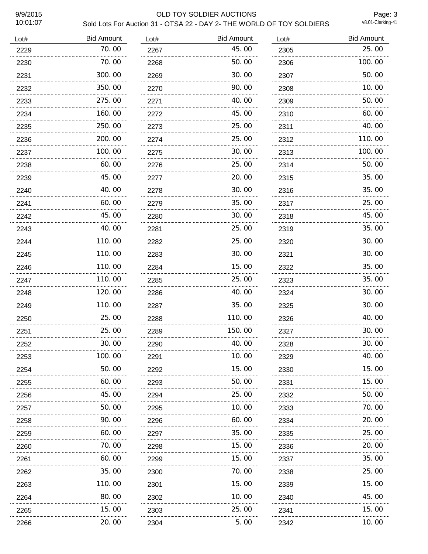9/9/2015<br>10:01:07

# OLD TOY SOLDIER AUCTIONS Sold Lots For Auction 31 - OTSA 22 - DAY 2- THE WORLD OF TOY SOLDIERS

Page: 3<br>v8.01-Clerking-41

| Lot# | <b>Bid Amount</b> | Lot# | <b>Bid Amount</b> | Lot# | <b>Bid Amount</b> |
|------|-------------------|------|-------------------|------|-------------------|
| 2229 | 70.00             | 2267 | 45.00             | 2305 | 25.00             |
| 2230 | 70.00             | 2268 | 50.00             | 2306 | 100.00            |
| 2231 | 300.00            | 2269 | 30.00             | 2307 | 50.00             |
| 2232 | 350.00            | 2270 | 90.00             | 2308 | 10.00             |
| 2233 | 275.00            | 2271 | 40.00             | 2309 | 50.00             |
| 2234 | 160.00            | 2272 | 45.00             | 2310 | 60.00             |
| 2235 | 250.00            | 2273 | 25,00             | 2311 | 40.00             |
| 2236 | 200.00            | 2274 | 25.00             | 2312 | 110.00            |
| 2237 | 100.00            | 2275 | 30.00             | 2313 | 100.00            |
| 2238 | 60.00             | 2276 | 25.00             | 2314 | 50.00             |
| 2239 | 45.00             | 2277 | 20.00             | 2315 | 35.00             |
| 2240 | 40.00             | 2278 | 30.00             | 2316 | 35.00             |
| 2241 | 60.00             | 2279 | 35.00             | 2317 | 25.00             |
| 2242 | 45.00             | 2280 | 30.00             | 2318 | 45.00             |
| 2243 | 40.00<br>.        | 2281 | 25.00             | 2319 | 35.00             |
| 2244 | 110.00            | 2282 | 25,00             | 2320 | 30.00             |
| 2245 | 110.00            | 2283 | 30.00             | 2321 | 30.00             |
| 2246 | 110.00            | 2284 | 15.00             | 2322 | 35.00             |
| 2247 | 110.00            | 2285 | 25.00             | 2323 | 35.00             |
| 2248 | 120.00            | 2286 | 40.00             | 2324 | 30.00             |
| 2249 | 110.00<br>.       | 2287 | 35.00             | 2325 | 30.00             |
| 2250 | 25.00             | 2288 | 110.00            | 2326 | 40.00             |
| 2251 | 25.00             | 2289 | 150.00            | 2327 | 30.00             |
| 2252 | 30.00             | 2290 | 40.00             | 2328 | 30.00             |
| 2253 | 100.00            | 2291 | 10.00             | 2329 | 40.00             |
| 2254 | 50.00             | 2292 | 15.00             | 2330 | 15.00             |
| 2255 | 60.00             | 2293 | 50.00             | 2331 | 15.00             |
| 2256 | 45.00             | 2294 | 25.00             | 2332 | 50.00             |
| 2257 | 50.00             | 2295 | 10.00             | 2333 | 70.00             |
| 2258 | 90.00             | 2296 | 60.00             | 2334 | 20.00             |
| 2259 | 60.00             | 2297 | 35.00             | 2335 | 25.00             |
| 2260 | 70.00             | 2298 | 15.00             | 2336 | 20. 00            |
| 2261 | 60.00             | 2299 | 15.00             | 2337 | 35.00             |
| 2262 | 35.00             | 2300 | 70.00             | 2338 | 25.00             |
| 2263 | 110.00            | 2301 | 15.00             | 2339 | 15.00             |
| 2264 | 80.00             | 2302 | 10.00             | 2340 | 45.00             |
| 2265 | 15.00<br>.        | 2303 | 25.00             | 2341 | 15.00             |
| 2266 | 20. 00            | 2304 | 5.00              | 2342 | 10.00             |
|      |                   |      |                   |      |                   |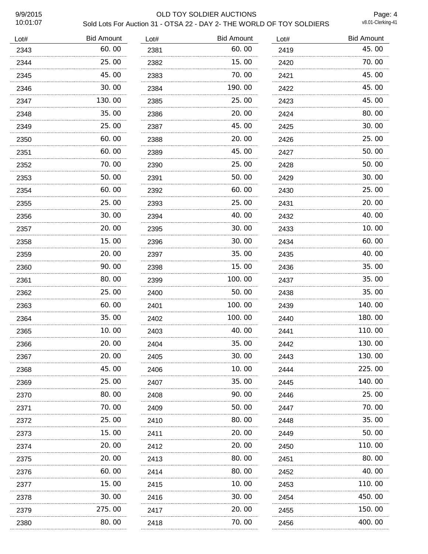# 9/9/2015 OLD TOY SOLDIER AUCTIONS Sold Lots For Auction 31 - OTSA 22 - DAY 2- THE WORLD OF TOY SOLDIERS

Page: 4<br>v8.01-Clerking-41

| Lot# | <b>Bid Amount</b> | Lot# | <b>Bid Amount</b> | Lot# | <b>Bid Amount</b> |
|------|-------------------|------|-------------------|------|-------------------|
| 2343 | 60.00             | 2381 | 60.00             | 2419 | 45.00             |
| 2344 | 25.00             | 2382 | 15.00             | 2420 | 70.00             |
| 2345 | 45.00             | 2383 | 70.00             | 2421 | 45.00             |
| 2346 | 30.00             | 2384 | 190.00            | 2422 | 45.00             |
| 2347 | 130.00            | 2385 | 25.00             | 2423 | 45.00             |
| 2348 | 35.00             | 2386 | 20.00             | 2424 | 80.00             |
| 2349 | 25.00             | 2387 | 45.00             | 2425 | 30.00             |
| 2350 | 60.00             | 2388 | 20.00             | 2426 | 25.00             |
| 2351 | 60.00             | 2389 | 45.00             | 2427 | 50.00             |
| 2352 | 70.00             | 2390 | 25.00             | 2428 | 50.00             |
| 2353 | 50.00             | 2391 | 50.00             | 2429 | 30.00             |
| 2354 | 60.00             | 2392 | 60.00             | 2430 | 25.00             |
| 2355 | 25.00             | 2393 | 25.00             | 2431 | 20.00             |
| 2356 | 30.00             | 2394 | 40.00             | 2432 | 40.00             |
| 2357 | 20.00             | 2395 | 30.00             | 2433 | 10.00             |
| 2358 | .<br>15.00        | 2396 | 30.00             | 2434 | 60.00             |
| 2359 | 20.00<br>.        | 2397 | 35.00             | 2435 | 40.00             |
| 2360 | 90.00             | 2398 | 15.00             | 2436 | 35.00             |
| 2361 | 80.00             | 2399 | 100.00            | 2437 | 35.00             |
| 2362 | 25.00             | 2400 | 50.00             | 2438 | 35.00             |
| 2363 | 60.00             | 2401 | 100.00            | 2439 | 140.00            |
| 2364 | 35.00             | 2402 | 100.00            | 2440 | 180.00            |
| 2365 | 10.00             | 2403 | 40.00             | 2441 | 110.00            |
| 2366 | 20.00             | 2404 | 35.00             | 2442 | 130.00            |
| 2367 | 20.00             | 2405 | 30.00             | 2443 | 130.00            |
| 2368 | 45.00             | 2406 | 10.00             | 2444 | 225.00            |
| 2369 | 25.00             | 2407 | 35.00             | 2445 | 140.00            |
| 2370 | 80.00             | 2408 | 90.00             | 2446 | 25.00             |
| 2371 | 70.00             | 2409 | 50.00             | 2447 | 70.00             |
| 2372 | 25.00             | 2410 | 80.00             | 2448 | 35.00             |
| 2373 | 15.00             | 2411 | 20.00             | 2449 | 50.00             |
| 2374 | 20.00             | 2412 | 20.00             | 2450 | 110.00            |
| 2375 | 20.00             | 2413 | 80.00             | 2451 | 80.00             |
| 2376 | 60.00             | 2414 | 80.00             | 2452 | 40.00             |
| 2377 | 15.00             | 2415 | 10.00             | 2453 | 110.00            |
| 2378 | 30.00             | 2416 | 30.00             | 2454 | 450.00            |
| 2379 | 275.00            | 2417 | 20.00             | 2455 | 150.00            |
| 2380 | 80.00             | 2418 | 70.00             | 2456 | 400.00            |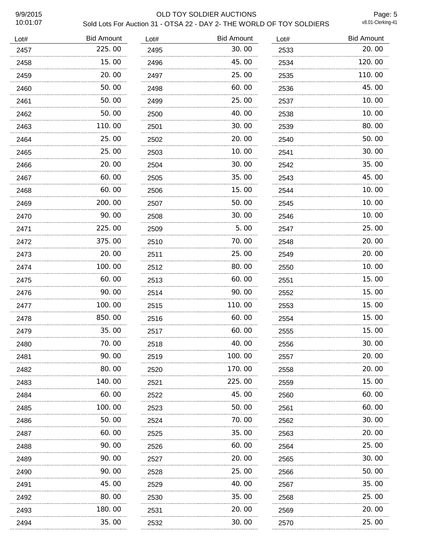# 9/9/2015 OLD TOY SOLDIER AUCTIONS Sold Lots For Auction 31 - OTSA 22 - DAY 2- THE WORLD OF TOY SOLDIERS

Page: 5<br>v8.01-Clerking-41

| Lot# | <b>Bid Amount</b> | Lot# | <b>Bid Amount</b> | Lot#      | <b>Bid Amount</b> |
|------|-------------------|------|-------------------|-----------|-------------------|
| 2457 | 225.00            | 2495 | 30.00             | 2533      | 20.00             |
| 2458 | 15.00             | 2496 | 45.00             | 2534      | 120.00            |
| 2459 | 20.00             | 2497 | 25.00             | 2535      | 110.00            |
| 2460 | 50.00             | 2498 | 60.00             | 2536      | 45.00             |
| 2461 | 50.00             | 2499 | 25.00             | 2537      | 10.00             |
| 2462 | 50.00             | 2500 | 40.00             | 2538      | 10.00             |
| 2463 | 110.00<br>.       | 2501 | 30.00             | 2539      | 80.00             |
| 2464 | 25.00             | 2502 | 20.00             | 2540      | 50.00             |
| 2465 | 25.00<br>.        | 2503 | 10.00             | 2541      | 30.00             |
| 2466 | 20.00             | 2504 | 30.00             | 2542      | 35.00             |
| 2467 | 60.00             | 2505 | 35.00             | 2543      | 45.00             |
| 2468 | 60.00             | 2506 | 15.00             | 2544      | 10.00             |
| 2469 | 200.00            | 2507 | 50.00             | 2545      | 10.00             |
| 2470 | 90.00             | 2508 | 30.00             | 2546      | 10.00             |
| 2471 | 225.00            | 2509 | 5.00              | 2547      | 25.00             |
| 2472 | 375.00            | 2510 | 70.00             | 2548      | 20.00             |
| 2473 | 20.00             | 2511 | 25,00             | 2549      | 20.00             |
| 2474 | 100.00            | 2512 | 80.00             | 2550      | 10.00             |
| 2475 | 60.00             | 2513 | 60.00             | 2551      | 15.00             |
| 2476 | 90.00             | 2514 | 90.00             | 2552<br>. | 15.00             |
| 2477 | 100.00            | 2515 | 110.00            | 2553      | 15.00             |
| 2478 | 850.00            | 2516 | 60.00             | 2554      | 15.00             |
| 2479 | 35.00             | 2517 | 60.00             | 2555      | 15.00             |
| 2480 | 70.00             | 2518 | 40.00             | 2556      | 30.00             |
| 2481 | 90.00             | 2519 | 100.00            | 2557      | 20.00             |
| 2482 | 80.00             | 2520 | 170.00            | 2558      | 20.00             |
| 2483 | 140. 00           | 2521 | 225.00            | 2559      | 15.00             |
| 2484 | 60.00             | 2522 | 45.00             | 2560      | 60.00             |
| 2485 | 100. 00           | 2523 | 50. 00            | 2561      | 60.00             |
| 2486 | <br>50.00         | 2524 | 70.00             | 2562      | 30.00             |
| 2487 | 60.00             | 2525 | 35.00             | 2563      | 20.00             |
| 2488 | 90.00             | 2526 | 60.00             | 2564      | 25.00             |
| 2489 | 90.00             | 2527 | 20. 00            | 2565      | 30.00             |
| 2490 | 90.00             | 2528 | 25.00             | 2566      | 50.00             |
| 2491 | 45.00             | 2529 | 40. OO            | 2567      | 35.00             |
| 2492 | 80.00             | 2530 | 35.00             | 2568      | 25.00             |
| 2493 | 180. 00           | 2531 | 20. 00            | 2569      | 20.00             |
| 2494 | 35.00             | 2532 | 30. 00            | 2570      | 25.00             |
|      |                   |      |                   |           |                   |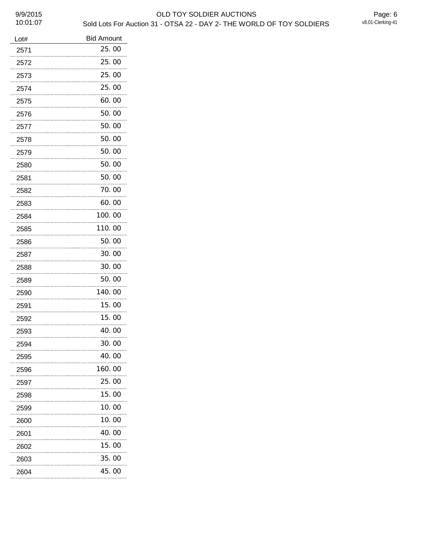9/9/2015 OLD TOY SOLDIER AUCTIONS Sold Lots For Auction 31 - OTSA 22 - DAY 2- THE WORLD OF TOY SOLDIERS

| Lot# | <b>Bid Amount</b> |
|------|-------------------|
| 2571 | 25.00             |
| 2572 | 25.00             |
| 2573 | 25.00             |
| 2574 | 25.00             |
| 2575 | 60.00             |
| 2576 | 50.00             |
| 2577 | 50.00             |
| 2578 | 50.00             |
| 2579 | 50. 00            |
| 2580 | 50.00             |
| 2581 | 50. 00            |
| 2582 | 70.00             |
| 2583 | 60.00             |
| 2584 | 100.00            |
| 2585 | 110. 00           |
| 2586 | 50.00             |
| 2587 | 30.00             |
| 2588 | 30.00             |
| 2589 | 50. 00            |
| 2590 | 140.00            |
| 2591 | 15.00             |
| 2592 | 15. 00            |
| 2593 | 40.00             |
| 2594 | 30. OO            |
| 2595 | 40.00             |
| 2596 | 160.00<br>.       |
| 2597 | 25.00             |
| 2598 | 15.00<br>         |
| 2599 | 10.00             |
| 2600 | 10.00<br>         |
| 2601 | 40.00             |
| 2602 | 15.00             |
| 2603 | 35.00             |
| 2604 | 45.00             |

45.00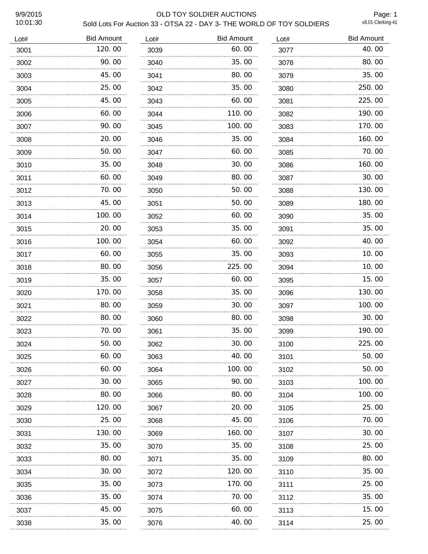# 9/9/2015 OLD TOY SOLDIER AUCTIONS Sold Lots For Auction 33 - OTSA 22 - DAY 3- THE WORLD OF TOY SOLDIERS

Page: 1<br>v8.01-Clerking-41

| Lot# | <b>Bid Amount</b> | Lot# | <b>Bid Amount</b> | Lot# | <b>Bid Amount</b> |
|------|-------------------|------|-------------------|------|-------------------|
| 3001 | 120.00            | 3039 | 60.00             | 3077 | 40.00             |
| 3002 | 90.00             | 3040 | 35.00             | 3078 | 80.00             |
| 3003 | 45.00             | 3041 | 80.00             | 3079 | 35.00             |
| 3004 | 25.00             | 3042 | 35,00             | 3080 | 250.00            |
| 3005 | 45.00             | 3043 | 60.00             | 3081 | 225.00            |
| 3006 | 60.00             | 3044 | 110.00            | 3082 | 190.00            |
| 3007 | 90.00             | 3045 | 100.00            | 3083 | 170.00            |
| 3008 | 20.00             | 3046 | 35.00             | 3084 | 160.00            |
| 3009 | 50.00             | 3047 | 60.00             | 3085 | 70.00             |
| 3010 | 35.00             | 3048 | 30.00             | 3086 | 160.00            |
| 3011 | 60.00             | 3049 | 80.00             | 3087 | 30.00             |
| 3012 | 70.00             | 3050 | 50.00             | 3088 | 130.00            |
| 3013 | 45.00             | 3051 | 50.00             | 3089 | 180.00            |
| 3014 | 100.00            | 3052 | 60.00             | 3090 | 35.00             |
| 3015 | 20.00             | 3053 | 35.00             | 3091 | 35.00             |
| 3016 | 100.00            | 3054 | 60.00             | 3092 | 40.00             |
| 3017 | 60.00             | 3055 | 35.00             | 3093 | 10.00             |
| 3018 | 80.00             | 3056 | 225.00            | 3094 | 10.00             |
| 3019 | 35.00             | 3057 | 60.00             | 3095 | 15.00             |
| 3020 | 170.00<br>.       | 3058 | 35.00             | 3096 | 130.00            |
| 3021 | 80.00             | 3059 | 30.00             | 3097 | 100.00            |
| 3022 | 80.00             | 3060 | 80.00             | 3098 | 30.00             |
| 3023 | 70.00             | 3061 | 35.00             | 3099 | 190.00            |
| 3024 | 50.00             | 3062 | 30.00             | 3100 | 225.00            |
| 3025 | 60.00             | 3063 | 40. OO            | 3101 | 50. 00            |
| 3026 | 60.00             | 3064 | 100. 00           | 3102 | 50. 00            |
| 3027 | 30.00             | 3065 | 90.00             | 3103 | 100.00            |
| 3028 | 80.00             | 3066 | 80.00             | 3104 | 100.00            |
| 3029 | 120.00            | 3067 | 20. 00            | 3105 | 25.00             |
| 3030 | 25.00             | 3068 | 45.00             | 3106 | 70. 00            |
| 3031 | 130. 00           | 3069 | 160. 00           | 3107 | 30. 00            |
| 3032 | 35.00             | 3070 | 35.00             | 3108 | 25.00             |
| 3033 | 80.00             | 3071 | 35.00             | 3109 | 80.00             |
| 3034 | 30.00             | 3072 | 120.00            | 3110 | 35.00             |
| 3035 | 35.00             | 3073 | 170.00            | 3111 | 25.00             |
| 3036 | 35.00             | 3074 | 70. 00            | 3112 | 35.00             |
| 3037 | 45.00             | 3075 | 60.00             | 3113 | 15.00             |
| 3038 | 35.00             | 3076 | 40.00             | 3114 | 25.00             |
|      |                   |      |                   |      |                   |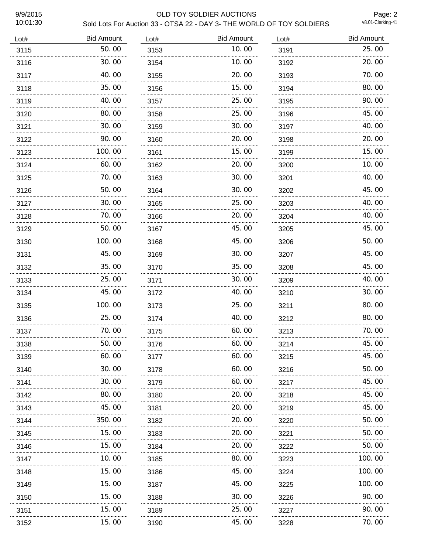# 9/9/2015 OLD TOY SOLDIER AUCTIONS Sold Lots For Auction 33 - OTSA 22 - DAY 3- THE WORLD OF TOY SOLDIERS

Page: 2<br>v8.01-Clerking-41

| Lot# | <b>Bid Amount</b> | Lot# | <b>Bid Amount</b> | Lot# | <b>Bid Amount</b> |
|------|-------------------|------|-------------------|------|-------------------|
| 3115 | 50.00             | 3153 | 10.00             | 3191 | 25.00             |
| 3116 | 30.00             | 3154 | 10.00             | 3192 | 20.00             |
| 3117 | 40.00             | 3155 | 20.00             | 3193 | 70.00             |
| 3118 | 35.00             | 3156 | 15.00             | 3194 | 80.00             |
| 3119 | 40.00             | 3157 | 25.00             | 3195 | 90.00             |
| 3120 | 80.00             | 3158 | 25,00             | 3196 | 45.00             |
| 3121 | 30.00             | 3159 | 30.00             | 3197 | 40.00             |
| 3122 | 90.00             | 3160 | 20.00             | 3198 | 20.00             |
| 3123 | 100.00            | 3161 | 15.00             | 3199 | 15.00             |
| 3124 | 60.00             | 3162 | 20.00             | 3200 | 10.00             |
| 3125 | 70.00             | 3163 | 30.00             | 3201 | 40.00             |
| 3126 | 50.00             | 3164 | 30.00             | 3202 | 45.00             |
| 3127 | 30.00             | 3165 | 25.00             | 3203 | 40.00             |
| 3128 | 70.00             | 3166 | 20.00             | 3204 | 40.00             |
| 3129 | 50.00<br>.        | 3167 | 45.00             | 3205 | 45.00             |
| 3130 | 100.00            | 3168 | 45.00             | 3206 | 50.00             |
| 3131 | 45.00             | 3169 | 30.00             | 3207 | 45.00             |
| 3132 | 35.00             | 3170 | 35.00             | 3208 | 45.00             |
| 3133 | 25.00             | 3171 | 30.00             | 3209 | 40.00             |
| 3134 | 45.00             | 3172 | 40.00             | 3210 | 30.00             |
| 3135 | 100.00            | 3173 | 25.00             | 3211 | 80.00             |
| 3136 | 25.00             | 3174 | 40.00             | 3212 | 80.00             |
| 3137 | 70.00             | 3175 | 60.00             | 3213 | 70.00             |
| 3138 | 50.00             | 3176 | 60.00             | 3214 | 45.00             |
| 3139 | 60.00             | 3177 | 60.00             | 3215 | 45.00             |
| 3140 | 30.00             | 3178 | 60.00             | 3216 | 50.00             |
| 3141 | 30. 00            | 3179 | 60.00             | 3217 | 45.00             |
| 3142 | 80.00             | 3180 | 20.00             | 3218 | 45.00             |
| 3143 | 45.00             | 3181 | 20.00             | 3219 | 45.00             |
| 3144 | 350.00            | 3182 | 20.00             | 3220 | 50.00             |
| 3145 | 15.00             | 3183 | 20.00             | 3221 | 50.00             |
| 3146 | 15.00             | 3184 | 20.00             | 3222 | 50.00             |
| 3147 | 10. 00            | 3185 | 80.00             | 3223 | 100.00            |
| 3148 | 15.00             | 3186 | 45.00             | 3224 | 100.00            |
| 3149 | 15.00             | 3187 | 45.00             | 3225 | 100.00            |
| 3150 | 15.00             | 3188 | 30.00             | 3226 | 90.00             |
| 3151 | 15.00<br>.        | 3189 | 25.00             | 3227 | 90.00             |
| 3152 | 15.00             | 3190 | 45.00             | 3228 | 70.00             |
|      |                   |      |                   |      |                   |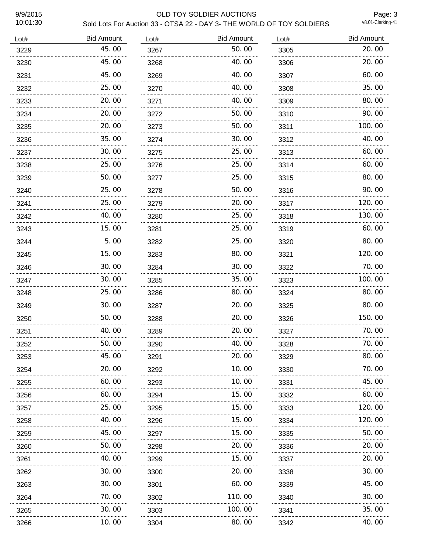# 9/9/2015 OLD TOY SOLDIER AUCTIONS Sold Lots For Auction 33 - OTSA 22 - DAY 3- THE WORLD OF TOY SOLDIERS

Page: 3<br>v8.01-Clerking-41

| Lot# | <b>Bid Amount</b> | Lot# | <b>Bid Amount</b> | Lot# | <b>Bid Amount</b> |
|------|-------------------|------|-------------------|------|-------------------|
| 3229 | 45.00             | 3267 | 50.00             | 3305 | 20.00             |
| 3230 | 45.00             | 3268 | 40.00             | 3306 | 20.00             |
| 3231 | 45.00             | 3269 | 40.00             | 3307 | 60.00             |
| 3232 | 25.00             | 3270 | 40.00             | 3308 | 35.00             |
| 3233 | 20.00<br>.        | 3271 | 40.00             | 3309 | 80.00             |
| 3234 | 20.00             | 3272 | 50.00             | 3310 | 90.00             |
| 3235 | 20.00             | 3273 | 50.00             | 3311 | 100.00            |
| 3236 | 35.00             | 3274 | 30.00             | 3312 | 40.00             |
| 3237 | 30.00             | 3275 | 25.00             | 3313 | 60.00             |
| 3238 | 25.00             | 3276 | 25.00             | 3314 | 60.00             |
| 3239 | 50.00             | 3277 | 25.00             | 3315 | 80.00             |
| 3240 | 25.00             | 3278 | 50.00             | 3316 | 90.00             |
| 3241 | 25.00             | 3279 | 20.00             | 3317 | 120.00            |
| 3242 | 40.00             | 3280 | 25.00             | 3318 | 130.00            |
| 3243 | 15.00             | 3281 | 25.00             | 3319 | 60.00             |
| 3244 | 5.00              | 3282 | 25.00             | 3320 | 80.00             |
| 3245 | 15.00             | 3283 | 80.00             | 3321 | 120.00            |
| 3246 | 30.00             | 3284 | 30.00             | 3322 | 70.00             |
| 3247 | 30.00             | 3285 | 35.00             | 3323 | 100.00            |
| 3248 | 25.00             | 3286 | 80.00             | 3324 | 80.00             |
| 3249 | 30.00             | 3287 | 20,00             | 3325 | 80.00             |
| 3250 | 50.00             | 3288 | 20.00             | 3326 | 150.00            |
| 3251 | 40.00             | 3289 | 20.00             | 3327 | 70.00             |
| 3252 | 50.00             | 3290 | 40.00             | 3328 | 70.00             |
| 3253 | 45.00             | 3291 | 20.00             | 3329 | 80.00             |
| 3254 | 20.00             | 3292 | 10.00             | 3330 | 70.00             |
| 3255 | 60.00             | 3293 | 10.00             | 3331 | 45.00             |
| 3256 | .<br>60.00        | 3294 | 15.00             | 3332 | 60.00             |
| 3257 | 25.00             | 3295 | 15.00             | 3333 | 120.00            |
| 3258 | 40.00             | 3296 | 15.00             | 3334 | 120.00            |
| 3259 | 45.00             | 3297 | 15.00             | 3335 | 50.00             |
| 3260 | 50.00             | 3298 | 20.00             | 3336 | 20.00             |
| 3261 | 40.00             | 3299 | 15.00             | 3337 | 20.00             |
| 3262 | 30.00             | 3300 | 20.00             | 3338 | 30.00             |
| 3263 | 30.00             | 3301 | 60.00             | 3339 | 45.00             |
| 3264 | 70.00             | 3302 | 110.00            | 3340 | 30.00             |
| 3265 | 30.00             | 3303 | 100.00            | 3341 | 35.00             |
| 3266 | 10.00             | 3304 | 80.00             | 3342 | 40.00             |
|      |                   | .    |                   |      |                   |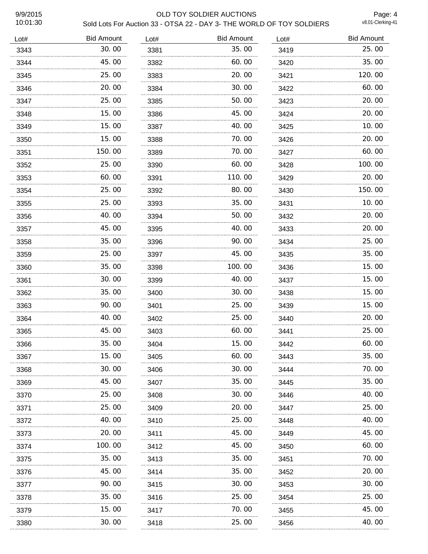# 9/9/2015 OLD TOY SOLDIER AUCTIONS Sold Lots For Auction 33 - OTSA 22 - DAY 3- THE WORLD OF TOY SOLDIERS

Page: 4<br>v8.01-Clerking-41

| Lot# | <b>Bid Amount</b> | Lot# | <b>Bid Amount</b> | Lot# | <b>Bid Amount</b> |
|------|-------------------|------|-------------------|------|-------------------|
| 3343 | 30.00             | 3381 | 35.00             | 3419 | 25.00             |
| 3344 | 45.00             | 3382 | 60.00             | 3420 | 35.00             |
| 3345 | 25.00             | 3383 | 20.00             | 3421 | 120.00            |
| 3346 | 20.00             | 3384 | 30.00             | 3422 | 60.00             |
| 3347 | 25.00             | 3385 | 50.00             | 3423 | 20.00             |
| 3348 | 15.00             | 3386 | 45.00             | 3424 | 20.00             |
| 3349 | 15.00             | 3387 | 40.00             | 3425 | 10.00             |
| 3350 | 15.00             | 3388 | 70.00             | 3426 | 20.00             |
| 3351 | 150.00            | 3389 | 70.00             | 3427 | 60.00             |
| 3352 | 25.00             | 3390 | 60.00             | 3428 | 100.00            |
| 3353 | 60.00             | 3391 | 110.00            | 3429 | 20.00             |
| 3354 | 25.00             | 3392 | 80.00             | 3430 | 150.00            |
| 3355 | 25.00             | 3393 | 35.00             | 3431 | 10.00             |
| 3356 | 40.00             | 3394 | 50.00             | 3432 | 20.00             |
| 3357 | 45.00             | 3395 | 40.00             | 3433 | 20.00             |
| 3358 | 35.00             | 3396 | 90.00             | 3434 | 25.00             |
| 3359 | 25.00             | 3397 | 45.00             | 3435 | 35.00             |
| 3360 | 35.00             | 3398 | 100.00            | 3436 | 15.00             |
| 3361 | 30.00             | 3399 | 40.00             | 3437 | 15.00             |
| 3362 | 35.00             | 3400 | 30.00             | 3438 | 15.00             |
| 3363 | 90.00             | 3401 | 25.00             | 3439 | 15.00             |
| 3364 | 40.00             | 3402 | 25.00             | 3440 | 20.00             |
| 3365 | 45.00             | 3403 | 60.00             | 3441 | 25.00             |
| 3366 | 35.00             | 3404 | 15.00             | 3442 | 60.00             |
| 3367 | 15.00             | 3405 | 60.00             | 3443 | 35.00             |
| 3368 | 30.00             | 3406 | 30.00             | 3444 | 70.00             |
| 3369 | 45.00             | 3407 | 35.00             | 3445 | 35.00             |
| 3370 | 25.00             | 3408 | 30.00             | 3446 | 40.00             |
| 3371 | 25.00             | 3409 | 20.00             | 3447 | 25.00             |
| 3372 | 40.00             | 3410 | 25.00             | 3448 | 40.00             |
| 3373 | 20.00             | 3411 | 45.00             | 3449 | 45.00             |
| 3374 | 100.00            | 3412 | 45.00             | 3450 | 60.00             |
| 3375 | 35.00             | 3413 | 35.00             | 3451 | 70.00             |
| 3376 | 45.00             | 3414 | 35.00             | 3452 | 20.00             |
| 3377 | 90.00             | 3415 | 30.00             | 3453 | 30.00             |
| 3378 | 35.00             | 3416 | 25.00             | 3454 | 25.00             |
| 3379 | 15.00             | 3417 | 70.00             | 3455 | 45.00             |
| 3380 | 30.00             | 3418 | 25.00             | 3456 | 40.00             |